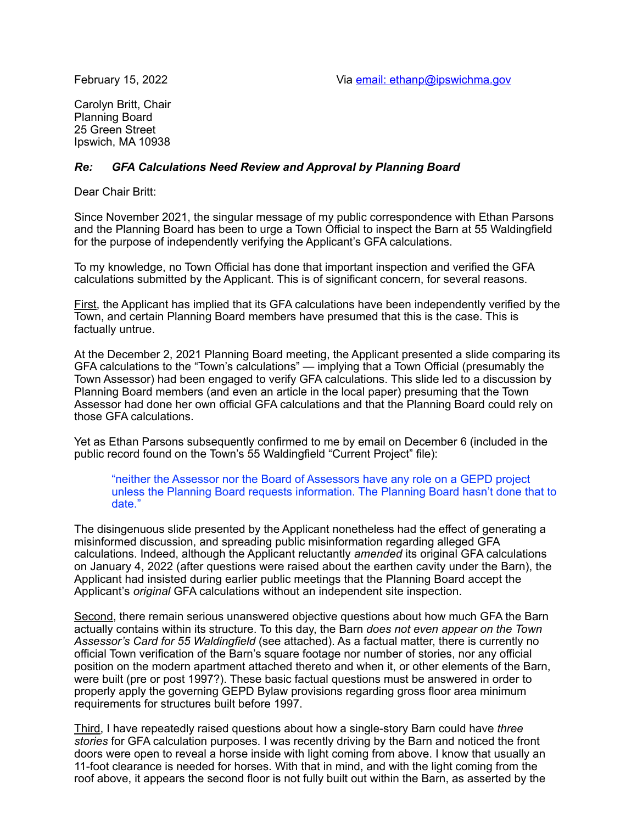Carolyn Britt, Chair Planning Board 25 Green Street Ipswich, MA 10938

## *Re: GFA Calculations Need Review and Approval by Planning Board*

Dear Chair Britt:

Since November 2021, the singular message of my public correspondence with Ethan Parsons and the Planning Board has been to urge a Town Official to inspect the Barn at 55 Waldingfield for the purpose of independently verifying the Applicant's GFA calculations.

To my knowledge, no Town Official has done that important inspection and verified the GFA calculations submitted by the Applicant. This is of significant concern, for several reasons.

First, the Applicant has implied that its GFA calculations have been independently verified by the Town, and certain Planning Board members have presumed that this is the case. This is factually untrue.

At the December 2, 2021 Planning Board meeting, the Applicant presented a slide comparing its GFA calculations to the "Town's calculations" — implying that a Town Official (presumably the Town Assessor) had been engaged to verify GFA calculations. This slide led to a discussion by Planning Board members (and even an article in the local paper) presuming that the Town Assessor had done her own official GFA calculations and that the Planning Board could rely on those GFA calculations.

Yet as Ethan Parsons subsequently confirmed to me by email on December 6 (included in the public record found on the Town's 55 Waldingfield "Current Project" file):

"neither the Assessor nor the Board of Assessors have any role on a GEPD project unless the Planning Board requests information. The Planning Board hasn't done that to date."

The disingenuous slide presented by the Applicant nonetheless had the effect of generating a misinformed discussion, and spreading public misinformation regarding alleged GFA calculations. Indeed, although the Applicant reluctantly *amended* its original GFA calculations on January 4, 2022 (after questions were raised about the earthen cavity under the Barn), the Applicant had insisted during earlier public meetings that the Planning Board accept the Applicant's *original* GFA calculations without an independent site inspection.

Second, there remain serious unanswered objective questions about how much GFA the Barn actually contains within its structure. To this day, the Barn *does not even appear on the Town Assessor's Card for 55 Waldingfield* (see attached). As a factual matter, there is currently no official Town verification of the Barn's square footage nor number of stories, nor any official position on the modern apartment attached thereto and when it, or other elements of the Barn, were built (pre or post 1997?). These basic factual questions must be answered in order to properly apply the governing GEPD Bylaw provisions regarding gross floor area minimum requirements for structures built before 1997.

Third, I have repeatedly raised questions about how a single-story Barn could have *three stories* for GFA calculation purposes. I was recently driving by the Barn and noticed the front doors were open to reveal a horse inside with light coming from above. I know that usually an 11-foot clearance is needed for horses. With that in mind, and with the light coming from the roof above, it appears the second floor is not fully built out within the Barn, as asserted by the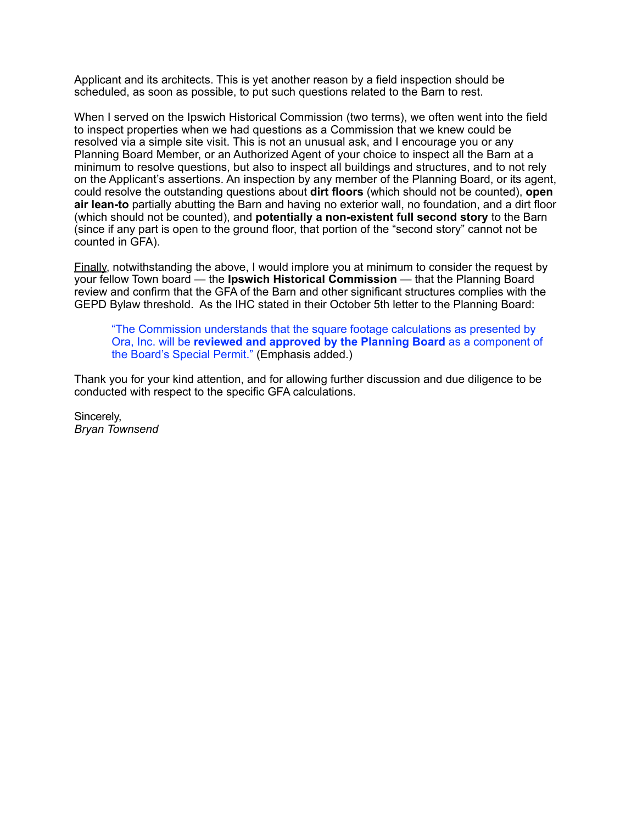Applicant and its architects. This is yet another reason by a field inspection should be scheduled, as soon as possible, to put such questions related to the Barn to rest.

When I served on the Ipswich Historical Commission (two terms), we often went into the field to inspect properties when we had questions as a Commission that we knew could be resolved via a simple site visit. This is not an unusual ask, and I encourage you or any Planning Board Member, or an Authorized Agent of your choice to inspect all the Barn at a minimum to resolve questions, but also to inspect all buildings and structures, and to not rely on the Applicant's assertions. An inspection by any member of the Planning Board, or its agent, could resolve the outstanding questions about **dirt floors** (which should not be counted), **open air lean-to** partially abutting the Barn and having no exterior wall, no foundation, and a dirt floor (which should not be counted), and **potentially a non-existent full second story** to the Barn (since if any part is open to the ground floor, that portion of the "second story" cannot not be counted in GFA).

Finally, notwithstanding the above, I would implore you at minimum to consider the request by your fellow Town board — the **Ipswich Historical Commission** — that the Planning Board review and confirm that the GFA of the Barn and other significant structures complies with the GEPD Bylaw threshold. As the IHC stated in their October 5th letter to the Planning Board:

"The Commission understands that the square footage calculations as presented by Ora, Inc. will be **reviewed and approved by the Planning Board** as a component of the Board's Special Permit." (Emphasis added.)

Thank you for your kind attention, and for allowing further discussion and due diligence to be conducted with respect to the specific GFA calculations.

Sincerely, *Bryan Townsend*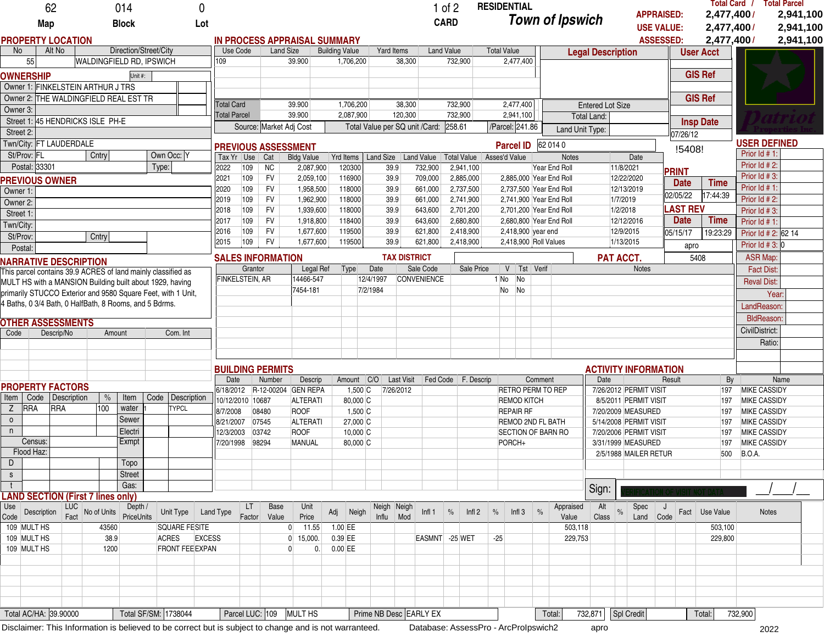|                                                              |                            | 62                               |                                                                                                        | 014                   |       |                                                         | 0                        |                                     |                 |                  |                           |                        |                       |                                |                   |                                                  | $1$ of $2$        |                                |                   |                    | <b>RESIDENTIAL</b>                   |                  |                        |                                          |                        |                        |                                       |                 |                          |                                            | Total Card / Total Parcel |  |  |
|--------------------------------------------------------------|----------------------------|----------------------------------|--------------------------------------------------------------------------------------------------------|-----------------------|-------|---------------------------------------------------------|--------------------------|-------------------------------------|-----------------|------------------|---------------------------|------------------------|-----------------------|--------------------------------|-------------------|--------------------------------------------------|-------------------|--------------------------------|-------------------|--------------------|--------------------------------------|------------------|------------------------|------------------------------------------|------------------------|------------------------|---------------------------------------|-----------------|--------------------------|--------------------------------------------|---------------------------|--|--|
|                                                              | Map                        |                                  |                                                                                                        | <b>Block</b>          |       |                                                         | Lot                      |                                     |                 |                  |                           |                        |                       |                                |                   |                                                  | <b>CARD</b>       |                                |                   |                    |                                      |                  | <b>Town of Ipswich</b> |                                          |                        |                        | <b>APPRAISED:</b>                     |                 | 2,477,400/               |                                            | 2,941,100                 |  |  |
|                                                              |                            | <b>PROPERTY LOCATION</b>         |                                                                                                        |                       |       |                                                         |                          | <b>IN PROCESS APPRAISAL SUMMARY</b> |                 |                  |                           |                        |                       |                                |                   |                                                  |                   |                                |                   |                    |                                      |                  |                        |                                          |                        |                        | <b>USE VALUE:</b><br><b>ASSESSED:</b> |                 | 2,477,400/<br>2,477,400/ |                                            | 2,941,100<br>2,941,100    |  |  |
| No                                                           |                            | Alt No                           |                                                                                                        | Direction/Street/City |       |                                                         |                          | Use Code                            |                 | <b>Land Size</b> |                           | <b>Building Value</b>  |                       |                                | Yard Items        |                                                  | <b>Land Value</b> |                                |                   | <b>Total Value</b> |                                      |                  |                        | <b>Legal Description</b>                 |                        |                        |                                       |                 | <b>User Acct</b>         |                                            |                           |  |  |
|                                                              | 55                         |                                  | WALDINGFIELD RD, IPSWICH                                                                               |                       |       |                                                         |                          | 109                                 |                 |                  | 39.900                    |                        | 1,706,200             |                                |                   | 38,300                                           |                   | 732,900                        |                   |                    | 2,477,400                            |                  |                        |                                          |                        |                        |                                       |                 |                          |                                            |                           |  |  |
|                                                              | <b>OWNERSHIP</b>           |                                  |                                                                                                        | Unit #:               |       |                                                         |                          |                                     |                 |                  |                           |                        |                       |                                |                   |                                                  |                   |                                |                   |                    |                                      |                  |                        |                                          |                        |                        |                                       |                 | <b>GIS Ref</b>           |                                            |                           |  |  |
|                                                              |                            |                                  | Owner 1: FINKELSTEIN ARTHUR J TRS                                                                      |                       |       |                                                         |                          |                                     |                 |                  |                           |                        |                       |                                |                   |                                                  |                   |                                |                   |                    |                                      |                  |                        |                                          |                        |                        |                                       |                 |                          |                                            |                           |  |  |
|                                                              |                            |                                  | Owner 2: THE WALDINGFIELD REAL EST TR                                                                  |                       |       |                                                         |                          |                                     |                 |                  |                           |                        |                       |                                |                   |                                                  |                   |                                |                   |                    |                                      |                  |                        |                                          |                        |                        |                                       |                 | <b>GIS Ref</b>           |                                            |                           |  |  |
| Owner 3:                                                     |                            |                                  |                                                                                                        |                       |       |                                                         |                          | <b>Total Card</b>                   |                 |                  | 39.900                    |                        | 1,706,200             |                                |                   | 38,300                                           |                   | 732,900                        |                   |                    | 2,477,400                            |                  |                        | <b>Entered Lot Size</b>                  |                        |                        |                                       |                 |                          |                                            |                           |  |  |
|                                                              |                            |                                  | Street 1: 45 HENDRICKS ISLE PH-E                                                                       |                       |       |                                                         |                          | <b>Total Parcel</b>                 |                 |                  | 39.900                    |                        | 2,087,900             |                                |                   | 120,300                                          |                   | 732,900                        |                   |                    | 2,941,100                            |                  |                        | <b>Total Land:</b>                       |                        |                        |                                       |                 | <b>Insp Date</b>         |                                            |                           |  |  |
| Street 2:                                                    |                            |                                  |                                                                                                        |                       |       |                                                         |                          | Source: Market Adj Cost             |                 |                  |                           |                        |                       | Total Value per SQ unit /Card: |                   |                                                  | 258.61            |                                |                   | /Parcel: 241.86    |                                      |                  | Land Unit Type:        |                                          |                        | 07/26/12               |                                       |                 |                          |                                            |                           |  |  |
|                                                              |                            | Twn/City: FT LAUDERDALE          |                                                                                                        |                       |       |                                                         |                          | <b>PREVIOUS ASSESSMENT</b>          |                 |                  |                           |                        |                       |                                |                   |                                                  |                   |                                |                   |                    | <b>Parcel ID</b>                     |                  | 62 014 0               |                                          |                        |                        |                                       | !5408!          |                          |                                            | <b>USER DEFINED</b>       |  |  |
|                                                              | St/Prov: FL                |                                  | Cntry                                                                                                  |                       |       | Own Occ: Y                                              |                          | Use<br>Tax Yr                       | Cat             |                  | <b>Bldg Value</b>         |                        |                       |                                |                   | Yrd Items   Land Size   Land Value   Total Value |                   |                                |                   |                    | Asses'd Value                        |                  | Notes                  |                                          |                        | Date                   |                                       |                 |                          | Prior Id # 1:                              |                           |  |  |
|                                                              | Postal: 33301              |                                  |                                                                                                        |                       | Type: |                                                         |                          | 2022<br>109                         | <b>NC</b>       |                  | 2,087,900                 |                        | 120300                |                                | 39.9              | 732,900                                          |                   | 2,941,100                      |                   |                    |                                      |                  | Year End Roll          |                                          | 11/8/2021              |                        |                                       | <b>PRINT</b>    |                          | Prior Id # 2:                              |                           |  |  |
|                                                              |                            | <b>PREVIOUS OWNER</b>            |                                                                                                        |                       |       |                                                         |                          | 109<br>2021                         | <b>FV</b>       |                  | 2,059,100                 |                        | 116900                |                                | 39.9              | 709,000                                          |                   | 2,885,000                      |                   |                    | 2,885,000 Year End Roll              |                  |                        |                                          | 12/22/2020             |                        |                                       | <b>Date</b>     | <b>Time</b>              | Prior Id # 3:                              |                           |  |  |
| Owner 1:                                                     |                            |                                  |                                                                                                        |                       |       |                                                         |                          | 109<br>2020                         | <b>FV</b>       |                  | 1,958,500                 |                        | 118000                |                                | 39.9              | 661,000                                          |                   | 2,737,500                      |                   |                    | 2,737,500 Year End Roll              |                  |                        |                                          | 12/13/2019             |                        |                                       | 02/05/22        | 17:44:39                 | Prior Id # 1:                              |                           |  |  |
| Owner 2:                                                     |                            |                                  |                                                                                                        |                       |       |                                                         |                          | 109<br>2019                         | <b>FV</b>       |                  | 1,962,900                 |                        | 118000                |                                | 39.9              | 661,000                                          |                   | 2,741,900                      |                   |                    | 2,741,900 Year End Roll              |                  |                        |                                          | 1/7/2019               |                        |                                       |                 |                          | Prior Id # 2:                              |                           |  |  |
| Street 1:                                                    |                            |                                  |                                                                                                        |                       |       |                                                         |                          | 2018<br>109                         | <b>FV</b>       |                  | 1,939,600                 |                        | 118000                |                                | 39.9              | 643,600                                          |                   | 2,701,200                      |                   |                    | 2,701,200 Year End Roll              |                  |                        |                                          | 1/2/2018               |                        |                                       | <b>LAST REV</b> |                          | Prior Id # 3:                              |                           |  |  |
| Twn/City:                                                    |                            |                                  |                                                                                                        |                       |       |                                                         |                          | 109<br>2017                         | <b>FV</b>       |                  | 1,918,800                 |                        | 118400                |                                | 39.9              | 643,600                                          |                   | 2,680,800                      |                   |                    | 2,680,800 Year End Roll              |                  |                        |                                          | 12/12/2016             |                        |                                       | <b>Date</b>     | <b>Time</b>              | Prior Id # 1:                              |                           |  |  |
| St/Prov:                                                     |                            |                                  | Cntry                                                                                                  |                       |       |                                                         |                          | 109<br>2016                         | <b>FV</b>       |                  | 1,677,600                 |                        | 119500                |                                | 39.9              | 621,800                                          |                   | 2,418,900                      |                   |                    | 2,418,900 year end                   |                  |                        |                                          | 12/9/2015              |                        |                                       | 05/15/17        | 19:23:29                 |                                            | Prior Id # 2: 62 14       |  |  |
|                                                              | Postal:                    |                                  |                                                                                                        |                       |       |                                                         |                          | 109<br>2015                         | <b>FV</b>       |                  | 1,677,600                 |                        | 119500                |                                | 39.9              | 621,800                                          |                   | 2,418,900                      |                   |                    | 2,418,900 Roll Values                |                  |                        |                                          | 1/13/2015              |                        |                                       | apro            |                          | Prior $\text{Id}$ # 3: 0                   |                           |  |  |
| <b>NARRATIVE DESCRIPTION</b>                                 |                            |                                  |                                                                                                        |                       |       |                                                         | <b>SALES INFORMATION</b> |                                     |                 |                  |                           |                        |                       | <b>TAX DISTRICT</b>            |                   |                                                  |                   |                                |                   |                    |                                      | <b>PAT ACCT.</b> |                        |                                          |                        | 5408                   |                                       |                 | <b>ASR Map:</b>          |                                            |                           |  |  |
|                                                              |                            |                                  | This parcel contains 39.9 ACRES of land mainly classified as                                           |                       |       |                                                         |                          |                                     | Grantor         |                  | Legal Ref                 |                        | Type                  | Date                           |                   | Sale Code                                        |                   |                                | Sale Price        |                    | $V$   Tst   Verif                    |                  |                        |                                          |                        | <b>Notes</b>           |                                       |                 |                          | <b>Fact Dist:</b>                          |                           |  |  |
|                                                              |                            |                                  | MULT HS with a MANSION Building built about 1929, having                                               |                       |       |                                                         |                          | <b>FINKELSTEIN, AR</b>              |                 |                  | 14466-547                 |                        |                       | 12/4/1997                      |                   | CONVENIENCE                                      |                   |                                |                   | 1 No               | No                                   |                  |                        |                                          |                        |                        |                                       |                 |                          | <b>Reval Dist:</b>                         |                           |  |  |
| primarily STUCCO Exterior and 9580 Square Feet, with 1 Unit, |                            |                                  |                                                                                                        |                       |       |                                                         |                          |                                     |                 |                  | 7454-181                  |                        |                       | 7/2/1984                       |                   |                                                  |                   | No<br>$\overline{\mathsf{No}}$ |                   |                    |                                      |                  |                        |                                          |                        |                        |                                       |                 |                          | Year:                                      |                           |  |  |
| 4 Baths, 0 3/4 Bath, 0 HalfBath, 8 Rooms, and 5 Bdrms.       |                            |                                  |                                                                                                        |                       |       |                                                         |                          |                                     |                 |                  |                           |                        |                       |                                |                   |                                                  |                   |                                |                   |                    |                                      |                  |                        |                                          |                        |                        |                                       |                 |                          | LandReason:                                |                           |  |  |
| <b>OTHER ASSESSMENTS</b>                                     |                            |                                  |                                                                                                        |                       |       |                                                         |                          |                                     |                 |                  |                           |                        |                       |                                |                   |                                                  |                   |                                |                   |                    |                                      |                  |                        |                                          |                        |                        |                                       |                 | <b>BldReason:</b>        |                                            |                           |  |  |
|                                                              |                            | Descrip/No<br>Amount<br>Com. Int |                                                                                                        |                       |       |                                                         |                          |                                     |                 |                  |                           |                        |                       |                                |                   |                                                  |                   |                                |                   |                    |                                      |                  |                        |                                          |                        |                        |                                       |                 |                          | CivilDistrict:                             |                           |  |  |
| Code                                                         |                            |                                  |                                                                                                        |                       |       |                                                         |                          |                                     |                 |                  |                           |                        |                       |                                |                   |                                                  |                   |                                |                   |                    |                                      |                  |                        |                                          |                        |                        |                                       |                 |                          |                                            | Ratio:                    |  |  |
|                                                              |                            |                                  |                                                                                                        |                       |       |                                                         |                          |                                     |                 |                  |                           |                        |                       |                                |                   |                                                  |                   |                                |                   |                    |                                      |                  |                        |                                          |                        |                        |                                       |                 |                          |                                            |                           |  |  |
|                                                              |                            |                                  |                                                                                                        |                       |       |                                                         |                          |                                     |                 |                  |                           |                        |                       |                                |                   |                                                  |                   |                                |                   |                    |                                      |                  |                        |                                          |                        |                        |                                       |                 |                          |                                            |                           |  |  |
|                                                              |                            |                                  |                                                                                                        |                       |       |                                                         |                          | <b>BUILDING PERMITS</b>             |                 |                  | Amount   C/O<br>Descrip   |                        |                       |                                |                   |                                                  |                   |                                |                   |                    |                                      |                  |                        | <b>ACTIVITY INFORMATION</b>              |                        |                        |                                       |                 |                          |                                            |                           |  |  |
|                                                              |                            | <b>PROPERTY FACTORS</b>          |                                                                                                        |                       |       |                                                         |                          | Number<br>Date                      |                 |                  | R-12-00204 GEN REPA       |                        |                       |                                | <b>Last Visit</b> |                                                  | Fed Code          |                                | F. Descrip        |                    | <b>RETRO PERM TO REP</b>             | Comment          |                        | Date<br>Result<br>7/26/2012 PERMIT VISIT |                        |                        |                                       | By<br>197       |                          | Name                                       |                           |  |  |
| Item                                                         | Code                       | Description                      | $\frac{0}{0}$                                                                                          | Item                  | Code  | Description                                             |                          | 6/18/2012<br>10/12/2010 10687       |                 |                  | ALTERATI                  |                        | $1,500$ C<br>80,000 C |                                | 7/26/2012         |                                                  |                   |                                |                   |                    | <b>REMOD KITCH</b>                   |                  |                        |                                          |                        | 8/5/2011 PERMIT VISIT  |                                       |                 | 197                      | <b>MIKE CASSIDY</b><br><b>MIKE CASSIDY</b> |                           |  |  |
| Z                                                            | <b>RRA</b>                 | <b>RRA</b>                       | 100                                                                                                    | water                 |       | <b>TYPCL</b>                                            |                          | 8/7/2008                            | 08480           |                  | ROOF                      |                        | $1,500$ C             |                                |                   |                                                  |                   |                                |                   |                    | <b>REPAIR RF</b>                     |                  |                        |                                          |                        | 7/20/2009 MEASURED     |                                       |                 | 197                      | <b>MIKE CASSIDY</b>                        |                           |  |  |
| $\circ$                                                      |                            |                                  |                                                                                                        | Sewer                 |       |                                                         |                          | 8/21/2007                           | 07545           |                  | ALTERATI                  |                        | $27,000$ C            |                                |                   |                                                  |                   |                                |                   |                    | <b>REMOD 2ND FL BATH</b>             |                  |                        |                                          |                        | 5/14/2008 PERMIT VISIT |                                       |                 | 197                      | <b>MIKE CASSIDY</b>                        |                           |  |  |
| n                                                            |                            |                                  |                                                                                                        | Electri               |       |                                                         |                          | 12/3/2003                           | 03742           |                  | <b>ROOF</b><br>$10,000$ C |                        |                       |                                |                   |                                                  |                   |                                |                   |                    | <b>SECTION OF BARN RO</b>            |                  |                        |                                          | 7/20/2006 PERMIT VISIT |                        |                                       |                 | 197                      | <b>MIKE CASSIDY</b>                        |                           |  |  |
|                                                              | Census:                    |                                  |                                                                                                        | Exmpt                 |       |                                                         |                          | 98294<br>7/20/1998                  |                 |                  | <b>MANUAL</b><br>80,000 C |                        |                       |                                |                   |                                                  |                   |                                |                   | PORCH+             |                                      |                  | 3/31/1999 MEASURED     |                                          |                        |                        |                                       | 197             | <b>MIKE CASSIDY</b>      |                                            |                           |  |  |
|                                                              | Flood Haz:                 |                                  |                                                                                                        |                       |       |                                                         |                          |                                     |                 |                  |                           |                        |                       |                                |                   |                                                  |                   |                                |                   |                    |                                      |                  |                        |                                          |                        | 2/5/1988 MAILER RETUR  |                                       |                 |                          | 500 B.O.A.                                 |                           |  |  |
| D                                                            |                            |                                  |                                                                                                        | Topo                  |       |                                                         |                          |                                     |                 |                  |                           |                        |                       |                                |                   |                                                  |                   |                                |                   |                    |                                      |                  |                        |                                          |                        |                        |                                       |                 |                          |                                            |                           |  |  |
| $\mathsf S$                                                  |                            |                                  |                                                                                                        | Street                |       |                                                         |                          |                                     |                 |                  |                           |                        |                       |                                |                   |                                                  |                   |                                |                   |                    |                                      |                  |                        |                                          |                        |                        |                                       |                 |                          |                                            |                           |  |  |
| $\mathsf{t}$                                                 |                            |                                  |                                                                                                        | Gas:                  |       |                                                         |                          |                                     |                 |                  |                           |                        |                       |                                |                   |                                                  |                   |                                |                   |                    |                                      |                  |                        | Sign:                                    |                        |                        |                                       |                 |                          |                                            |                           |  |  |
|                                                              |                            |                                  | <b>LAND SECTION (First 7 lines only)</b>                                                               |                       |       |                                                         |                          |                                     |                 |                  |                           |                        |                       |                                |                   |                                                  |                   |                                |                   |                    |                                      |                  |                        |                                          |                        |                        |                                       |                 |                          |                                            |                           |  |  |
| Use                                                          | Description                | LUC                              | No of Units                                                                                            | Depth /               |       | Unit Type                                               | Land Type                | LT                                  | <b>Base</b>     |                  | Unit                      | Adj                    | Neigh                 | Neigh                          | Neigh             | Infl <sub>1</sub>                                |                   | $\%$                           | Infl <sub>2</sub> | $\%$               | Infl <sub>3</sub>                    | $\%$             | Appraised              | Alt                                      |                        | Spec                   | J                                     | Fact            | Use Value                |                                            | <b>Notes</b>              |  |  |
| Code                                                         |                            | Fact                             |                                                                                                        | PriceUnits            |       |                                                         |                          | Factor                              | Value           |                  | Price                     |                        |                       | Influ                          | Mod               |                                                  |                   |                                |                   |                    |                                      |                  | Value                  | Class                                    |                        | Land                   | $\vert$ Code                          |                 |                          |                                            |                           |  |  |
|                                                              | 109 MULT HS                |                                  | 43560                                                                                                  |                       |       | <b>SQUARE FESITE</b>                                    |                          |                                     |                 | 0                | 11.55                     | $1.00$ EE              |                       |                                |                   |                                                  |                   |                                |                   |                    |                                      |                  | 503,118                |                                          |                        |                        |                                       |                 | 503,100                  |                                            |                           |  |  |
|                                                              | 109 MULT HS<br>109 MULT HS |                                  | 38.9<br>1200                                                                                           |                       |       | <b>ACRES</b><br><b>EXCESS</b><br><b>FRONT FEE EXPAN</b> |                          |                                     |                 | 0 <br> 0         | 15,000.                   | $0.39$ EE<br>$0.00$ EE |                       |                                |                   |                                                  | EASMNT            | $-25$ WET                      |                   | $-25$              |                                      |                  | 229,753                |                                          |                        |                        |                                       |                 | 229,800                  |                                            |                           |  |  |
|                                                              |                            |                                  |                                                                                                        |                       |       |                                                         |                          |                                     |                 |                  | 0.                        |                        |                       |                                |                   |                                                  |                   |                                |                   |                    |                                      |                  |                        |                                          |                        |                        |                                       |                 |                          |                                            |                           |  |  |
|                                                              |                            |                                  |                                                                                                        |                       |       |                                                         |                          |                                     |                 |                  |                           |                        |                       |                                |                   |                                                  |                   |                                |                   |                    |                                      |                  |                        |                                          |                        |                        |                                       |                 |                          |                                            |                           |  |  |
|                                                              |                            |                                  |                                                                                                        |                       |       |                                                         |                          |                                     |                 |                  |                           |                        |                       |                                |                   |                                                  |                   |                                |                   |                    |                                      |                  |                        |                                          |                        |                        |                                       |                 |                          |                                            |                           |  |  |
|                                                              |                            |                                  |                                                                                                        |                       |       |                                                         |                          |                                     |                 |                  |                           |                        |                       |                                |                   |                                                  |                   |                                |                   |                    |                                      |                  |                        |                                          |                        |                        |                                       |                 |                          |                                            |                           |  |  |
|                                                              |                            |                                  |                                                                                                        |                       |       |                                                         |                          |                                     |                 |                  |                           |                        |                       |                                |                   |                                                  |                   |                                |                   |                    |                                      |                  |                        |                                          |                        |                        |                                       |                 |                          |                                            |                           |  |  |
|                                                              |                            | Total AC/HA: 39.90000            |                                                                                                        | Total SF/SM: 1738044  |       |                                                         |                          |                                     | Parcel LUC: 109 |                  | <b>MULT HS</b>            |                        |                       |                                |                   | Prime NB Desc EARLY EX                           |                   |                                |                   |                    |                                      |                  | Total:                 | 732,871                                  | Spl Credit             |                        |                                       |                 | Total:                   | 732,900                                    |                           |  |  |
|                                                              |                            |                                  | Disclaimer: This Information is believed to be correct but is subject to change and is not warranteed. |                       |       |                                                         |                          |                                     |                 |                  |                           |                        |                       |                                |                   |                                                  |                   |                                |                   |                    | Database: AssessPro - ArcProlpswich2 |                  |                        | apro                                     |                        |                        |                                       |                 |                          |                                            | 2022                      |  |  |
|                                                              |                            |                                  |                                                                                                        |                       |       |                                                         |                          |                                     |                 |                  |                           |                        |                       |                                |                   |                                                  |                   |                                |                   |                    |                                      |                  |                        |                                          |                        |                        |                                       |                 |                          |                                            |                           |  |  |